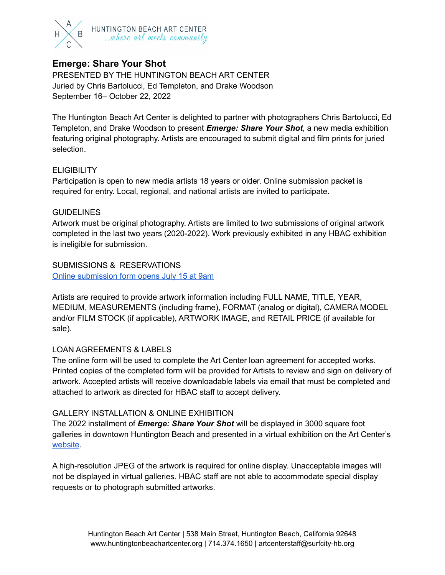

# **Emerge: Share Your Shot**

PRESENTED BY THE HUNTINGTON BEACH ART CENTER Juried by Chris Bartolucci, Ed Templeton, and Drake Woodson September 16– October 22, 2022

The Huntington Beach Art Center is delighted to partner with photographers Chris Bartolucci, Ed Templeton, and Drake Woodson to present *Emerge: Share Your Shot*, a new media exhibition featuring original photography. Artists are encouraged to submit digital and film prints for juried selection.

# **ELIGIBILITY**

Participation is open to new media artists 18 years or older. Online submission packet is required for entry. Local, regional, and national artists are invited to participate.

#### **GUIDELINES**

Artwork must be original photography. Artists are limited to two submissions of original artwork completed in the last two years (2020-2022). Work previously exhibited in any HBAC exhibition is ineligible for submission.

SUBMISSIONS & RESERVATIONS Online [submission](https://www.huntingtonbeachartcenter.org/upcoming-exhibition-emerge-share-your-shot.html) form opens July 15 at 9am

Artists are required to provide artwork information including FULL NAME, TITLE, YEAR, MEDIUM, MEASUREMENTS (including frame), FORMAT (analog or digital), CAMERA MODEL and/or FILM STOCK (if applicable), ARTWORK IMAGE, and RETAIL PRICE (if available for sale).

# LOAN AGREEMENTS & LABELS

The online form will be used to complete the Art Center loan agreement for accepted works. Printed copies of the completed form will be provided for Artists to review and sign on delivery of artwork. Accepted artists will receive downloadable labels via email that must be completed and attached to artwork as directed for HBAC staff to accept delivery.

# GALLERY INSTALLATION & ONLINE EXHIBITION

The 2022 installment of *Emerge: Share Your Shot* will be displayed in 3000 square foot galleries in downtown Huntington Beach and presented in a virtual exhibition on the Art Center's [website](https://www.huntingtonbeachartcenter.org/).

A high-resolution JPEG of the artwork is required for online display. Unacceptable images will not be displayed in virtual galleries. HBAC staff are not able to accommodate special display requests or to photograph submitted artworks.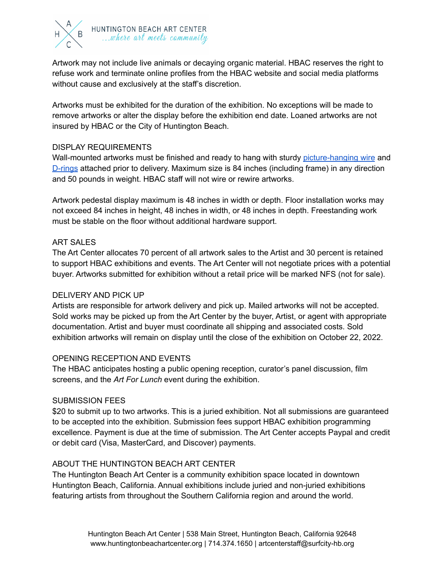

Artwork may not include live animals or decaying organic material. HBAC reserves the right to refuse work and terminate online profiles from the HBAC website and social media platforms without cause and exclusively at the staff's discretion.

Artworks must be exhibited for the duration of the exhibition. No exceptions will be made to remove artworks or alter the display before the exhibition end date. Loaned artworks are not insured by HBAC or the City of Huntington Beach.

# DISPLAY REQUIREMENTS

Wall-mounted artworks must be finished and ready to hang with sturdy [picture-hanging](https://www.dickblick.com/products/ook-framers-pro-wire/) wire and [D-rings](https://www.dickblick.com/products/d-ring-hangers/) attached prior to delivery. Maximum size is 84 inches (including frame) in any direction and 50 pounds in weight. HBAC staff will not wire or rewire artworks.

Artwork pedestal display maximum is 48 inches in width or depth. Floor installation works may not exceed 84 inches in height, 48 inches in width, or 48 inches in depth. Freestanding work must be stable on the floor without additional hardware support.

#### ART SALES

The Art Center allocates 70 percent of all artwork sales to the Artist and 30 percent is retained to support HBAC exhibitions and events. The Art Center will not negotiate prices with a potential buyer. Artworks submitted for exhibition without a retail price will be marked NFS (not for sale).

# DELIVERY AND PICK UP

Artists are responsible for artwork delivery and pick up. Mailed artworks will not be accepted. Sold works may be picked up from the Art Center by the buyer, Artist, or agent with appropriate documentation. Artist and buyer must coordinate all shipping and associated costs. Sold exhibition artworks will remain on display until the close of the exhibition on October 22, 2022.

# OPENING RECEPTION AND EVENTS

The HBAC anticipates hosting a public opening reception, curator's panel discussion, film screens, and the *Art For Lunch* event during the exhibition.

#### SUBMISSION FEES

\$20 to submit up to two artworks. This is a juried exhibition. Not all submissions are guaranteed to be accepted into the exhibition. Submission fees support HBAC exhibition programming excellence. Payment is due at the time of submission. The Art Center accepts Paypal and credit or debit card (Visa, MasterCard, and Discover) payments.

#### ABOUT THE HUNTINGTON BEACH ART CENTER

The Huntington Beach Art Center is a community exhibition space located in downtown Huntington Beach, California. Annual exhibitions include juried and non-juried exhibitions featuring artists from throughout the Southern California region and around the world.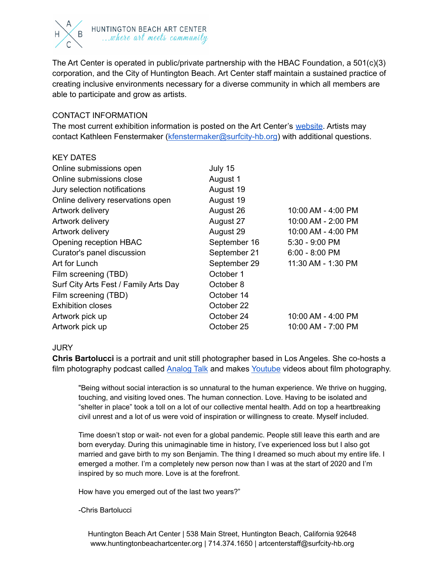

The Art Center is operated in public/private partnership with the HBAC Foundation, a  $501(c)(3)$ corporation, and the City of Huntington Beach. Art Center staff maintain a sustained practice of creating inclusive environments necessary for a diverse community in which all members are able to participate and grow as artists.

#### CONTACT INFORMATION

The most current exhibition information is posted on the Art Center's [website](https://www.huntingtonbeachartcenter.org/). Artists may contact Kathleen Fenstermaker [\(kfenstermaker@surfcity-hb.org\)](mailto:kfenstermaker@surfcity-hb.org) with additional questions.

| <b>KEY DATES</b>                      |              |                      |
|---------------------------------------|--------------|----------------------|
| Online submissions open               | July 15      |                      |
| Online submissions close              | August 1     |                      |
| Jury selection notifications          | August 19    |                      |
| Online delivery reservations open     | August 19    |                      |
| Artwork delivery                      | August 26    | $10:00$ AM - 4:00 PM |
| Artwork delivery                      | August 27    | 10:00 AM - 2:00 PM   |
| Artwork delivery                      | August 29    | 10:00 AM - 4:00 PM   |
| Opening reception HBAC                | September 16 | 5:30 - 9:00 PM       |
| Curator's panel discussion            | September 21 | $6:00 - 8:00$ PM     |
| Art for Lunch                         | September 29 | 11:30 AM - 1:30 PM   |
| Film screening (TBD)                  | October 1    |                      |
| Surf City Arts Fest / Family Arts Day | October 8    |                      |
| Film screening (TBD)                  | October 14   |                      |
| <b>Exhibition closes</b>              | October 22   |                      |
| Artwork pick up                       | October 24   | 10:00 AM - 4:00 PM   |
| Artwork pick up                       | October 25   | 10:00 AM - 7:00 PM   |

# **JURY**

**Chris Bartolucci** is a portrait and unit still photographer based in Los Angeles. She co-hosts a film photography podcast called [Analog](https://redcircle.com/shows/analog-talk) Talk and makes [Youtube](https://www.youtube.com/user/chrisbphoto) videos about film photography.

"Being without social interaction is so unnatural to the human experience. We thrive on hugging, touching, and visiting loved ones. The human connection. Love. Having to be isolated and "shelter in place" took a toll on a lot of our collective mental health. Add on top a heartbreaking civil unrest and a lot of us were void of inspiration or willingness to create. Myself included.

Time doesn't stop or wait- not even for a global pandemic. People still leave this earth and are born everyday. During this unimaginable time in history, I've experienced loss but I also got married and gave birth to my son Benjamin. The thing I dreamed so much about my entire life. I emerged a mother. I'm a completely new person now than I was at the start of 2020 and I'm inspired by so much more. Love is at the forefront.

How have you emerged out of the last two years?"

-Chris Bartolucci

Huntington Beach Art Center | 538 Main Street, Huntington Beach, California 92648 www.huntingtonbeachartcenter.org | 714.374.1650 | artcenterstaff@surfcity-hb.org